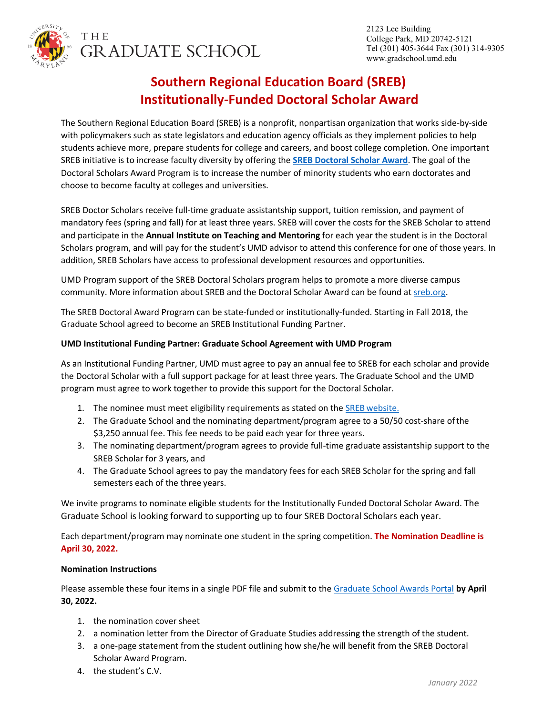

THE **GRADUATE SCHOOL** 

# **Southern Regional Education Board (SREB) Institutionally-Funded Doctoral Scholar Award**

The Southern Regional Education Board (SREB) is a nonprofit, nonpartisan organization that works side-by-side with policymakers such as state legislators and education agency officials as they implement policies to help students achieve more, prepare students for college and careers, and boost college completion. One important SREB initiative is to increase faculty diversity by offering the **[SREB Doctoral Scholar Award](https://www.sreb.org/doctoral-scholars-program)**. The goal of the Doctoral Scholars Award Program is to increase the number of minority students who earn doctorates and choose to become faculty at colleges and universities.

SREB Doctor Scholars receive full-time graduate assistantship support, tuition remission, and payment of mandatory fees (spring and fall) for at least three years. SREB will cover the costs for the SREB Scholar to attend and participate in the **Annual Institute on Teaching and Mentoring** for each year the student is in the Doctoral Scholars program, and will pay for the student's UMD advisor to attend this conference for one of those years. In addition, SREB Scholars have access to professional development resources and opportunities.

UMD Program support of the SREB Doctoral Scholars program helps to promote a more diverse campus community. More information about SREB and the Doctoral Scholar Award can be found at [sreb.org.](https://www.sreb.org/)

The SREB Doctoral Award Program can be state-funded or institutionally-funded. Starting in Fall 2018, the Graduate School agreed to become an SREB Institutional Funding Partner.

#### **UMD Institutional Funding Partner: Graduate School Agreement with UMD Program**

As an Institutional Funding Partner, UMD must agree to pay an annual fee to SREB for each scholar and provide the Doctoral Scholar with a full support package for at least three years. The Graduate School and the UMD program must agree to work together to provide this support for the Doctoral Scholar.

- 1. The nominee must meet eligibility requirements as stated on the SREB [website.](https://www.sreb.org/am-i-eligible)
- 2. The Graduate School and the nominating department/program agree to a 50/50 cost-share ofthe \$3,250 annual fee. This fee needs to be paid each year for three years.
- 3. The nominating department/program agrees to provide full-time graduate assistantship support to the SREB Scholar for 3 years, and
- 4. The Graduate School agrees to pay the mandatory fees for each SREB Scholar for the spring and fall semesters each of the three years.

We invite programs to nominate eligible students for the Institutionally Funded Doctoral Scholar Award. The Graduate School is looking forward to supporting up to four SREB Doctoral Scholars each year.

Each department/program may nominate one student in the spring competition. **The Nomination Deadline is April 30, 2022.**

#### **Nomination Instructions**

Please assemble these four items in a single PDF file and submit to th[e Graduate School Awards Portal](http://apps.gradschool.umd.edu/GSAwardsSystem/) **by April 30, 2022.**

- 1. the nomination cover sheet
- 2. a nomination letter from the Director of Graduate Studies addressing the strength of the student.
- 3. a one-page statement from the student outlining how she/he will benefit from the SREB Doctoral Scholar Award Program.
- 4. the student's C.V.